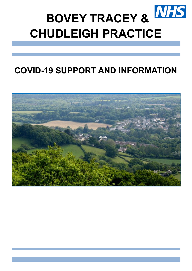

# **COVID-19 SUPPORT AND INFORMATION**

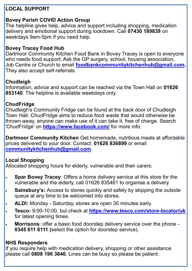### **LOCAL SUPPORT**

### **Bovey Parish COVID Action Group**

The helpline gives help, advice and support including shopping, medication delivery and emotional support during lockdown. Call **07430 189839** on weekdays 9am-5pm if you need help.

### **Bovey Tracey Food Hub**

Dartmoor Community Kitchen Food Bank in Bovey Tracey is open to everyone who needs food support. Ask the GP surgery, school, housing association, Job Centre or Church to email **[foodbankcommunitykitchenhub@gmail.com.](mailto:foodbankcommunitykitchenhub@gmail.com)**  They also accept self-referrals.

### **Chudleigh**

Information, advice and support can be reached via the Town Hall on **01626 853140**. The helpline is available weekdays only.

### **ChudFridge**

Chudleigh's Community Fridge can be found at the back door of Chudleigh Town Hall. ChudFridge aims to reduce food waste that would otherwise be thrown away, anyone can make use of it can take it, free of charge. Search 'ChudFridge' on **<https://www.facebook.com/>** for more info.

**Dartmoor Community Kitchen** Get homemade, nutritious meals at affordable prices delivered to your door. Contact: **01626 836899** or email **[communitykitchenhub@gmail.com](mailto:communitykitchenhub@gmail.com)**.

## **Local Shopping**

Allocated shopping hours for elderly, vulnerable and their carers:

- **Spar Bovey Tracey**: Offers a home delivery service at this store for the vulnerable and the elderly, call 01626 835461 to organise a delivery.
- **Sainsbury's:** Access to stores quickly and safely by skipping the outside queue at any time to be welcomed into stores.
- **ALDI:** Monday Saturday, stores are open 30 minutes early.
- **Tesco:** 9:00-10:00, but check at **[https://www.tesco.com/store](https://www.tesco.com/store-locator/uk)-locator/uk** for latest opening times.
- **Morrisons**: offer a basic food doorstep delivery service over the phone **0345 611 6111 (**select the option for doorstep service).

# **NHS Responders**

If you require help with medication delivery, shopping or other assistance please call **0808 196 3646**. Lines can be busy so please be patient.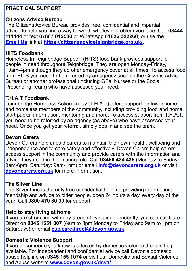### **PRACTICAL SUPPORT**

### **Citizens Advice Bureau**

 **[Email Us](https://form.jotform.com/70543696250963)** link at **[https://citizensadviceteignbridge.org.uk/.](https://citizensadviceteignbridge.org.uk/)** The Citizens Advice Bureau provides free, confidential and impartial advice to help you find a way forward, whatever problem you face. Call **03444 111444** or text **07867 012580** or WhatsApp **01626 322260**, or use the

#### **HITS Foodbank**

Homeless In Teignbridge Support (HITS) food bank provides support for people in need throughout Teignbridge. They are open Monday-Friday, 10am-4pm although they do offer emergency cover at all times. To access food from HITS you need to be referred by an agency such as the Citizens Advice Bureau or another professional (including GPs, Nurses or the Social Prescribing Team) who have assessed your need.

### **T.H.A.T Foodbank**

Teignbridge Homeless Action Today (T.H.A.T) offers support for low-income and homeless members of the community, including providing food and home start packs, information, mentoring and more. To access support from T.H.A.T, you need to be referred by an agency (as above) who have assessed your need. Once you get your referral, simply pop in and see the team.

#### **Devon Carers**

Devon Carers help unpaid carers to maintain their own health, wellbeing and independence and to care safely and effectively. Devon Carers help carers access support in the community and provide carers with the information and advice they need in their caring role. Call **03456 434 435** (Monday to Friday: 8am-6pm, Saturday: 9am-1pm) or email **[info@devoncarers.org.uk](mailto:info@devoncarers.org.uk)** or visit **[devoncarers.org.uk](https://devoncarers.org.uk/)** for more information.

#### **The Silver Line**

The Silver Line is the only free confidential helpline providing information, friendship and advice to older people, open 24 hours a day, every day of the year. Call **[0800 470 80 90](tel:0800%204%2070%2080%2090)** for support.

#### **Help to stay living at home**

If you are struggling with any areas of living independently, you can call Care Direct on **0345 1551 007** (8am to 8pm Monday to Friday and 9am to 1pm on Saturdays) or email **[csc.caredirect@devon.gov.uk](mailto:csc.caredirect@devon.gov.uk)**.

### **Domestic Violence Support**

 abuse helpline on **[0345 155 1074](tel:03451551074)** or visit our [Domestic and Sexual](https://www.devon.gov.uk/dsva) Violence If you or someone you know is affected by domestic violence there is help available. For independent and confidential advice call Devon's domestic [and Abuse website](https://www.devon.gov.uk/dsva) **[www.devon.gov.uk/dsva/](http://www.devon.gov.uk/dsva/)**.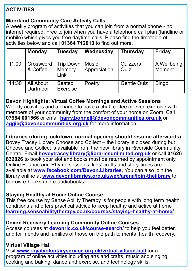### **ACTIVITIES**

### **Moorland Community Care Activity Calls**

A weekly program of activities that you can join from a normal phone - no internet required. Free to join when you have a telephone call plan (landline or mobile) which gives you free daytime calls. Please find the timetable of activities below and call **01364 712013** to find out more.

|       | <b>Monday</b>                | <b>Tuesday</b>                            | Wednesday                    | <b>Thursday</b>         | <b>Friday</b>                |
|-------|------------------------------|-------------------------------------------|------------------------------|-------------------------|------------------------------|
| 11:00 | Crossword<br>& Coffee        | <b>Trip Down</b><br>Memory<br><b>Link</b> | <b>Music</b><br>Appreciation | <b>Quizzers</b><br>Quiz | A Wellbeing<br><b>Moment</b> |
| 14:30 | <b>All About</b><br>Dartmoor | Seated<br><b>Exercise</b>                 | Poetry                       | <b>Gentle Quiz</b>      | <b>Bingo</b>                 |

### **Devon Highlights: Virtual Coffee Mornings and Active Sessions**

Weekly activities and a chance to have a chat, coffee or even exercise with members of your community from the comfort of your home on Zoom. Call **07984 001566** or email **[harry.bonnell@devoncommunities.org.uk](mailto:harry.bonnell@devoncommunities.org.uk)** or **[aggie@devoncommunities.org.uk](mailto:aggie@devoncommunities.org.uk)** for more information.

### **Libraries (during lockdown, normal opening should resume afterwards)**

 **832026** to book your slot and books must be returned by appointment only. Bovey Tracey Library Choose and Collect – the library is closed during but Choose and Collect is available from the new library in Riverside Community Centre. Email **[boveytracey.library@librariesunlimited.org.uk](mailto:boveytracey.library@librariesunlimited.org.uk)** or call **01626**  Online Bounce and Rhyme sessions, kids' crafts and story-times are available at **[www.facebook.com/Devon.Libraries](https://www.facebook.com/Devon.Libraries)**. You can also join the library online at **[www.devonlibraries.org.uk/web/arena/join](https://www.devonlibraries.org.uk/web/arena/join-thelibrary)-thelibrary** to borrow e-books and e-audiobooks.

### **Staying Healthy at Home Online Course**

This free course by Sense Ability Therapy is for people with long term health conditions and offers practical advice to keep healthy and active at home **[learning.senseabilitytherapy.co.uk/courses/staying](https://learning.senseabilitytherapy.co.uk/courses/staying-healthy-at-home/)-healthy-at-home/**.

### **Devon Recovery Learning Community Online Courses**

Access courses at **[devonrlc.co.uk/course](devonrlc.co.uk/course-search/)-search/** to help you feel better, and for friends and families of those on the path to mental health recovery.

### **Virtual Village Hall**

Visit **[www.royalvoluntaryservice.org.uk/virtual](https://www.royalvoluntaryservice.org.uk/virtual-village-hall/)-village-hall** for a program of online activities including arts and crafts, music and singing, cooking and baking, dance and exercise, and technology skills.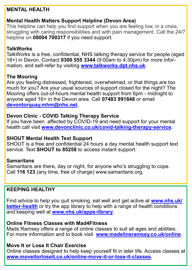### **MENTAL HEALTH**

### **Mental Health Matters Support Helpline (Devon Area)**

This helpline can help you find support when you are feeling low, in a crisis, struggling with caring responsibilities and with pain management. Call the 24/7 helpline on **[08004 700317](tel:08004700317)** if you need support.

#### **TalkWorks**

TalkWorks is a free, confidential, NHS talking therapy service for people (aged 18+) in Devon. Contact **0300 555 3344** (9:00am to 4:30pm) for more information, and self-refer by visiting **[www.talkworks.dpt.nhs.uk](https://www.talkworks.dpt.nhs.uk/)**.

#### **The Mooring**

Are you feeling distressed, frightened, overwhelmed, or that things are too much for you? Are your usual sources of support closed for the night? The Mooring offers out-of-hours mental health support from 6pm - midnight to anyone aged 16+ in the Devon area. Call **07483 991848** or email **[devontorquay.mhm@nhs.net](mailto:Devontorquay.mhm@nhs.net)**.

#### **Devon Clinic - COVID Talking Therapy Service**

If you have been affected by COVID-19 and need support for your mental health call visit **[www.devonclinic.co.uk/covid](http://www.devonclinic.co.uk/covid-talking-therapy-service/)-talking-therapy-service.**

#### **SHOUT Mental Health Text Support**

SHOUT is a free and confidential 24 hours a day mental health support text service. Text **SHOUT to 85258** to access instant support.

#### **Samaritans**

Samaritans are there, day or night, for anyone who's struggling to cope. Call **116 123** (any time, free of charge) www.samaritans.org.

#### **KEEPING HEALTHY**

Find advice to help you quit smoking, eat well and get active at **[www.nhs.uk/](https://www.nhs.uk/better-health/) better-[health](https://www.nhs.uk/better-health/)** or try the app library to help with a range of health conditions and keeping well at **[www.nhs.uk/apps](https://www.nhs.uk/apps-library/)-library**.

### **Online Fitness Classes with Mad4Fitness**

Mads Ramsey offers a range of online classes to suit all ages and abilities, For more information and to book visit **[www.madelineramsey.co.uk/online](http://www.madelineramsey.co.uk/online)**.

### **Move It or Lose It Chair Exercise**

Online classes designed to help keep yourself fit in later life. Access classes at **[www.moveitorloseit.co.uk/online](http://www.moveitorloseit.co.uk/online-move-it-or-lose-it-classes)-move-it-or-lose-it-classes.**